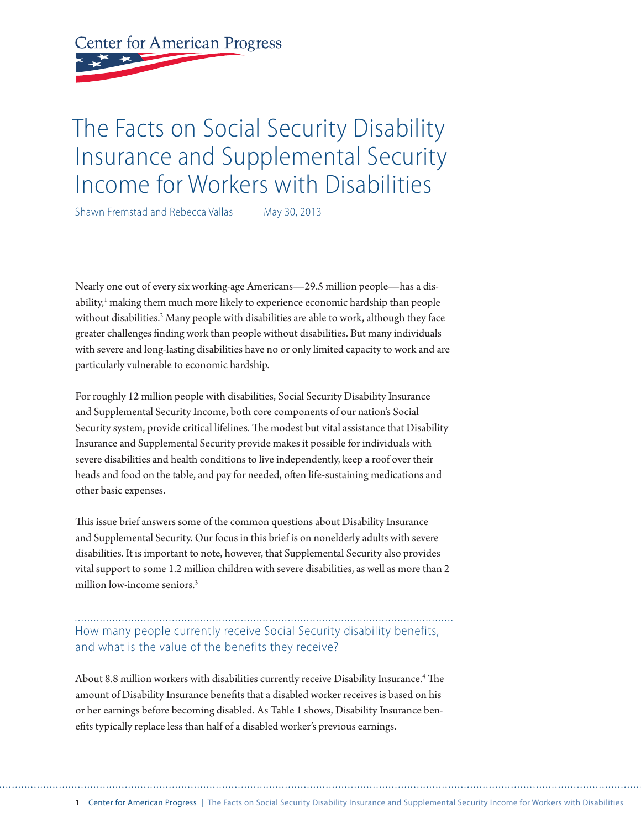**Center for American Progress** 

# The Facts on Social Security Disability Insurance and Supplemental Security Income for Workers with Disabilities

Shawn Fremstad and Rebecca Vallas May 30, 2013

Nearly one out of every six working-age Americans—29.5 million people—has a disability,<sup>1</sup> making them much more likely to experience economic hardship than people without disabilities.<sup>2</sup> Many people with disabilities are able to work, although they face greater challenges finding work than people without disabilities. But many individuals with severe and long-lasting disabilities have no or only limited capacity to work and are particularly vulnerable to economic hardship.

For roughly 12 million people with disabilities, Social Security Disability Insurance and Supplemental Security Income, both core components of our nation's Social Security system, provide critical lifelines. The modest but vital assistance that Disability Insurance and Supplemental Security provide makes it possible for individuals with severe disabilities and health conditions to live independently, keep a roof over their heads and food on the table, and pay for needed, often life-sustaining medications and other basic expenses.

This issue brief answers some of the common questions about Disability Insurance and Supplemental Security. Our focus in this brief is on nonelderly adults with severe disabilities. It is important to note, however, that Supplemental Security also provides vital support to some 1.2 million children with severe disabilities, as well as more than 2 million low-income seniors.<sup>3</sup>

How many people currently receive Social Security disability benefits, and what is the value of the benefits they receive?

About 8.8 million workers with disabilities currently receive Disability Insurance.<sup>4</sup> The amount of Disability Insurance benefits that a disabled worker receives is based on his or her earnings before becoming disabled. As Table 1 shows, Disability Insurance benefits typically replace less than half of a disabled worker's previous earnings.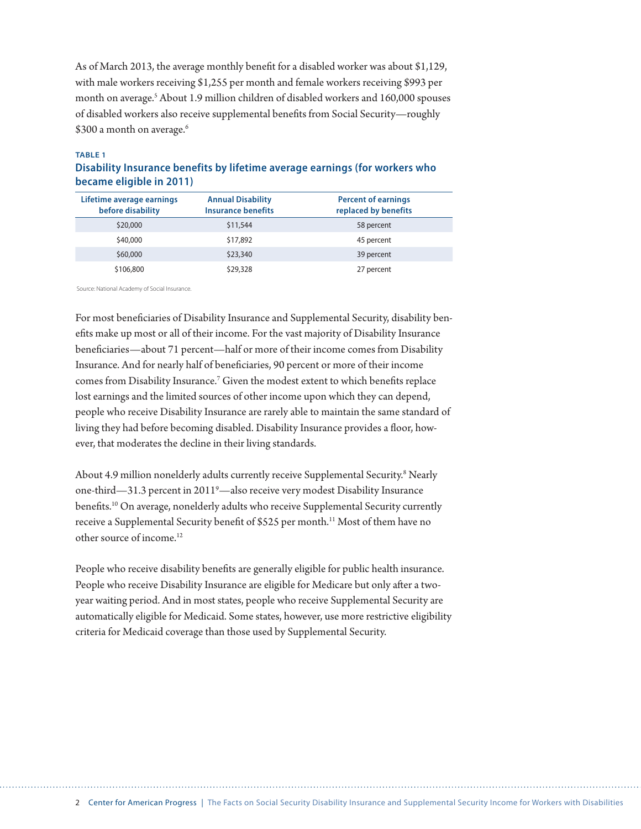As of March 2013, the average monthly benefit for a disabled worker was about \$1,129, with male workers receiving \$1,255 per month and female workers receiving \$993 per month on average.<sup>5</sup> About 1.9 million children of disabled workers and 160,000 spouses of disabled workers also receive supplemental benefits from Social Security—roughly \$300 a month on average.<sup>6</sup>

#### **TABLE 1**

### **Disability Insurance benefits by lifetime average earnings (for workers who became eligible in 2011)**

| Lifetime average earnings<br>before disability | <b>Annual Disability</b><br><b>Insurance benefits</b> | <b>Percent of earnings</b><br>replaced by benefits |
|------------------------------------------------|-------------------------------------------------------|----------------------------------------------------|
| \$20,000                                       | \$11,544                                              | 58 percent                                         |
| \$40,000                                       | \$17,892                                              | 45 percent                                         |
| \$60,000                                       | \$23,340                                              | 39 percent                                         |
| \$106,800                                      | \$29,328                                              | 27 percent                                         |

Source: National Academy of Social Insurance.

For most beneficiaries of Disability Insurance and Supplemental Security, disability benefits make up most or all of their income. For the vast majority of Disability Insurance beneficiaries—about 71 percent—half or more of their income comes from Disability Insurance. And for nearly half of beneficiaries, 90 percent or more of their income comes from Disability Insurance.<sup>7</sup> Given the modest extent to which benefits replace lost earnings and the limited sources of other income upon which they can depend, people who receive Disability Insurance are rarely able to maintain the same standard of living they had before becoming disabled. Disability Insurance provides a floor, however, that moderates the decline in their living standards.

About 4.9 million nonelderly adults currently receive Supplemental Security.<sup>8</sup> Nearly one-third—31.3 percent in 2011<sup>9</sup>—also receive very modest Disability Insurance benefits.10 On average, nonelderly adults who receive Supplemental Security currently receive a Supplemental Security benefit of \$525 per month.<sup>11</sup> Most of them have no other source of income.12

People who receive disability benefits are generally eligible for public health insurance. People who receive Disability Insurance are eligible for Medicare but only after a twoyear waiting period. And in most states, people who receive Supplemental Security are automatically eligible for Medicaid. Some states, however, use more restrictive eligibility criteria for Medicaid coverage than those used by Supplemental Security.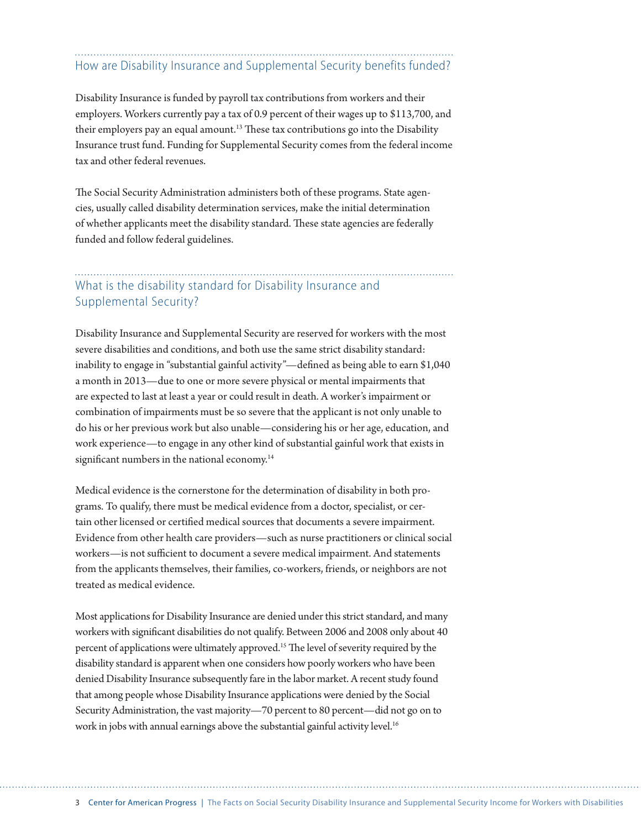## How are Disability Insurance and Supplemental Security benefits funded?

Disability Insurance is funded by payroll tax contributions from workers and their employers. Workers currently pay a tax of 0.9 percent of their wages up to \$113,700, and their employers pay an equal amount.<sup>13</sup> These tax contributions go into the Disability Insurance trust fund. Funding for Supplemental Security comes from the federal income tax and other federal revenues.

The Social Security Administration administers both of these programs. State agencies, usually called disability determination services, make the initial determination of whether applicants meet the disability standard. These state agencies are federally funded and follow federal guidelines.

### What is the disability standard for Disability Insurance and Supplemental Security?

Disability Insurance and Supplemental Security are reserved for workers with the most severe disabilities and conditions, and both use the same strict disability standard: inability to engage in "substantial gainful activity"—defined as being able to earn \$1,040 a month in 2013—due to one or more severe physical or mental impairments that are expected to last at least a year or could result in death. A worker's impairment or combination of impairments must be so severe that the applicant is not only unable to do his or her previous work but also unable—considering his or her age, education, and work experience—to engage in any other kind of substantial gainful work that exists in significant numbers in the national economy.<sup>14</sup>

Medical evidence is the cornerstone for the determination of disability in both programs. To qualify, there must be medical evidence from a doctor, specialist, or certain other licensed or certified medical sources that documents a severe impairment. Evidence from other health care providers—such as nurse practitioners or clinical social workers—is not sufficient to document a severe medical impairment. And statements from the applicants themselves, their families, co-workers, friends, or neighbors are not treated as medical evidence.

Most applications for Disability Insurance are denied under this strict standard, and many workers with significant disabilities do not qualify. Between 2006 and 2008 only about 40 percent of applications were ultimately approved.15 The level of severity required by the disability standard is apparent when one considers how poorly workers who have been denied Disability Insurance subsequently fare in the labor market. A recent study found that among people whose Disability Insurance applications were denied by the Social Security Administration, the vast majority—70 percent to 80 percent—did not go on to work in jobs with annual earnings above the substantial gainful activity level.<sup>16</sup>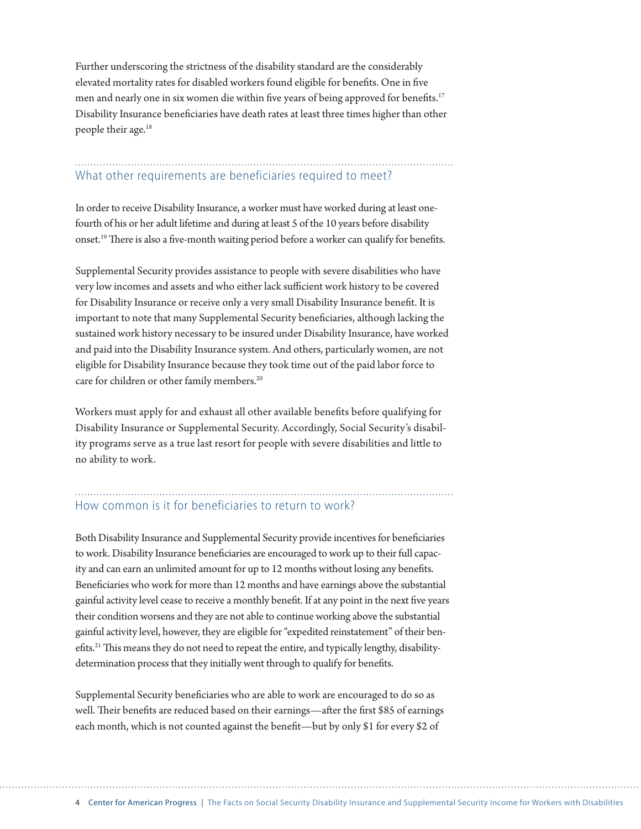Further underscoring the strictness of the disability standard are the considerably elevated mortality rates for disabled workers found eligible for benefits. One in five men and nearly one in six women die within five years of being approved for benefits.<sup>17</sup> Disability Insurance beneficiaries have death rates at least three times higher than other people their age.18

### What other requirements are beneficiaries required to meet?

In order to receive Disability Insurance, a worker must have worked during at least onefourth of his or her adult lifetime and during at least 5 of the 10 years before disability onset.19 There is also a five-month waiting period before a worker can qualify for benefits.

Supplemental Security provides assistance to people with severe disabilities who have very low incomes and assets and who either lack sufficient work history to be covered for Disability Insurance or receive only a very small Disability Insurance benefit. It is important to note that many Supplemental Security beneficiaries, although lacking the sustained work history necessary to be insured under Disability Insurance, have worked and paid into the Disability Insurance system. And others, particularly women, are not eligible for Disability Insurance because they took time out of the paid labor force to care for children or other family members.<sup>20</sup>

Workers must apply for and exhaust all other available benefits before qualifying for Disability Insurance or Supplemental Security. Accordingly, Social Security's disability programs serve as a true last resort for people with severe disabilities and little to no ability to work.

# How common is it for beneficiaries to return to work?

Both Disability Insurance and Supplemental Security provide incentives for beneficiaries to work. Disability Insurance beneficiaries are encouraged to work up to their full capacity and can earn an unlimited amount for up to 12 months without losing any benefits. Beneficiaries who work for more than 12 months and have earnings above the substantial gainful activity level cease to receive a monthly benefit. If at any point in the next five years their condition worsens and they are not able to continue working above the substantial gainful activity level, however, they are eligible for "expedited reinstatement" of their benefits.<sup>21</sup> This means they do not need to repeat the entire, and typically lengthy, disabilitydetermination process that they initially went through to qualify for benefits.

Supplemental Security beneficiaries who are able to work are encouraged to do so as well. Their benefits are reduced based on their earnings—after the first \$85 of earnings each month, which is not counted against the benefit—but by only \$1 for every \$2 of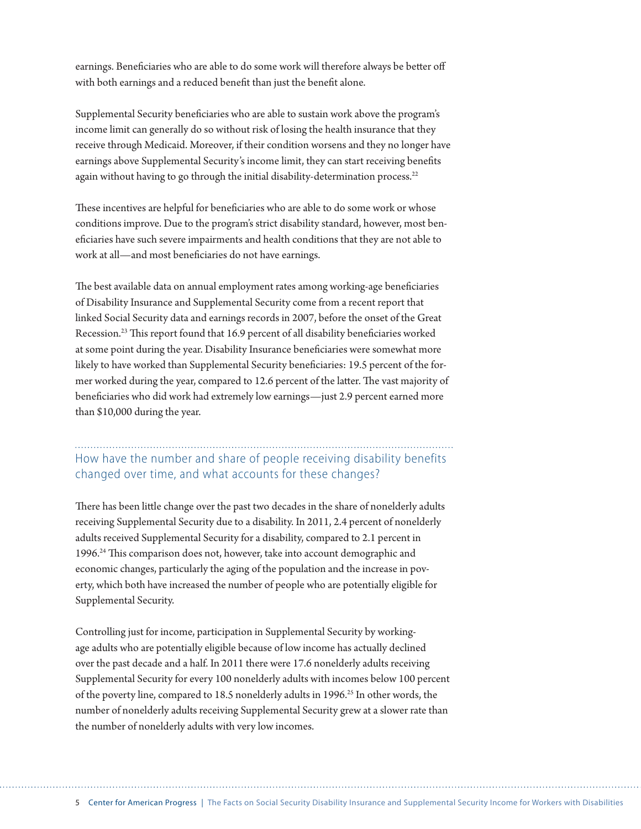earnings. Beneficiaries who are able to do some work will therefore always be better off with both earnings and a reduced benefit than just the benefit alone.

Supplemental Security beneficiaries who are able to sustain work above the program's income limit can generally do so without risk of losing the health insurance that they receive through Medicaid. Moreover, if their condition worsens and they no longer have earnings above Supplemental Security's income limit, they can start receiving benefits again without having to go through the initial disability-determination process.<sup>22</sup>

These incentives are helpful for beneficiaries who are able to do some work or whose conditions improve. Due to the program's strict disability standard, however, most beneficiaries have such severe impairments and health conditions that they are not able to work at all—and most beneficiaries do not have earnings.

The best available data on annual employment rates among working-age beneficiaries of Disability Insurance and Supplemental Security come from a recent report that linked Social Security data and earnings records in 2007, before the onset of the Great Recession.23 This report found that 16.9 percent of all disability beneficiaries worked at some point during the year. Disability Insurance beneficiaries were somewhat more likely to have worked than Supplemental Security beneficiaries: 19.5 percent of the former worked during the year, compared to 12.6 percent of the latter. The vast majority of beneficiaries who did work had extremely low earnings—just 2.9 percent earned more than \$10,000 during the year.

How have the number and share of people receiving disability benefits changed over time, and what accounts for these changes?

There has been little change over the past two decades in the share of nonelderly adults receiving Supplemental Security due to a disability. In 2011, 2.4 percent of nonelderly adults received Supplemental Security for a disability, compared to 2.1 percent in 1996.24 This comparison does not, however, take into account demographic and economic changes, particularly the aging of the population and the increase in poverty, which both have increased the number of people who are potentially eligible for Supplemental Security.

Controlling just for income, participation in Supplemental Security by workingage adults who are potentially eligible because of low income has actually declined over the past decade and a half. In 2011 there were 17.6 nonelderly adults receiving Supplemental Security for every 100 nonelderly adults with incomes below 100 percent of the poverty line, compared to 18.5 nonelderly adults in 1996.<sup>25</sup> In other words, the number of nonelderly adults receiving Supplemental Security grew at a slower rate than the number of nonelderly adults with very low incomes.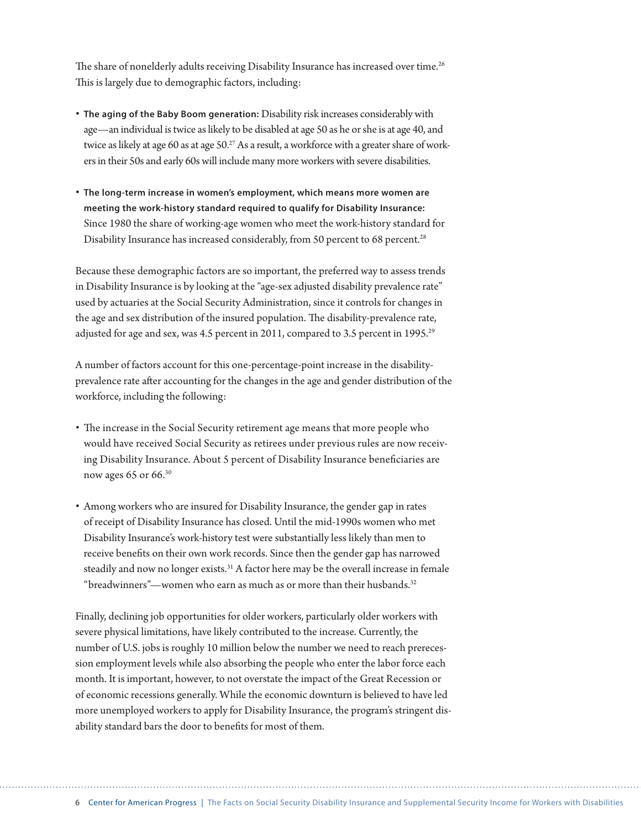The share of nonelderly adults receiving Disability Insurance has increased over time.<sup>26</sup> This is largely due to demographic factors, including:

- **The aging of the Baby Boom generation:** Disability risk increases considerably with age—an individual is twice as likely to be disabled at age 50 as he or she is at age 40, and twice as likely at age 60 as at age  $50.^{27}$  As a result, a workforce with a greater share of workers in their 50s and early 60s will include many more workers with severe disabilities.
- **The long-term increase in women's employment, which means more women are meeting the work-history standard required to qualify for Disability Insurance:**  Since 1980 the share of working-age women who meet the work-history standard for Disability Insurance has increased considerably, from 50 percent to 68 percent.<sup>28</sup>

Because these demographic factors are so important, the preferred way to assess trends in Disability Insurance is by looking at the "age-sex adjusted disability prevalence rate" used by actuaries at the Social Security Administration, since it controls for changes in the age and sex distribution of the insured population. The disability-prevalence rate, adjusted for age and sex, was 4.5 percent in 2011, compared to 3.5 percent in 1995.<sup>29</sup>

A number of factors account for this one-percentage-point increase in the disabilityprevalence rate after accounting for the changes in the age and gender distribution of the workforce, including the following:

- The increase in the Social Security retirement age means that more people who would have received Social Security as retirees under previous rules are now receiving Disability Insurance. About 5 percent of Disability Insurance beneficiaries are now ages 65 or 66.30
- Among workers who are insured for Disability Insurance, the gender gap in rates of receipt of Disability Insurance has closed. Until the mid-1990s women who met Disability Insurance's work-history test were substantially less likely than men to receive benefits on their own work records. Since then the gender gap has narrowed steadily and now no longer exists.<sup>31</sup> A factor here may be the overall increase in female "breadwinners"—women who earn as much as or more than their husbands. $32$

Finally, declining job opportunities for older workers, particularly older workers with severe physical limitations, have likely contributed to the increase. Currently, the number of U.S. jobs is roughly 10 million below the number we need to reach prerecession employment levels while also absorbing the people who enter the labor force each month. It is important, however, to not overstate the impact of the Great Recession or of economic recessions generally. While the economic downturn is believed to have led more unemployed workers to apply for Disability Insurance, the program's stringent disability standard bars the door to benefits for most of them.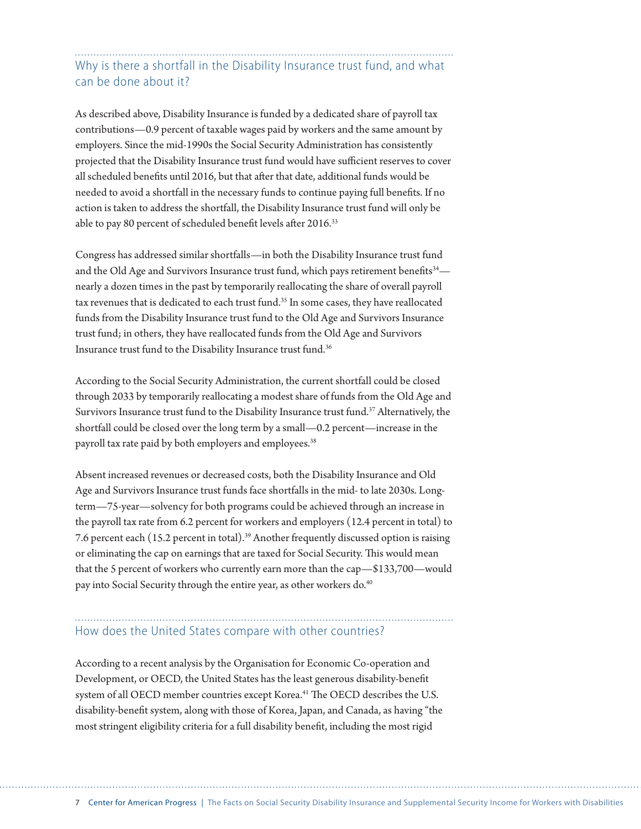### Why is there a shortfall in the Disability Insurance trust fund, and what can be done about it?

As described above, Disability Insurance is funded by a dedicated share of payroll tax contributions—0.9 percent of taxable wages paid by workers and the same amount by employers. Since the mid-1990s the Social Security Administration has consistently projected that the Disability Insurance trust fund would have sufficient reserves to cover all scheduled benefits until 2016, but that after that date, additional funds would be needed to avoid a shortfall in the necessary funds to continue paying full benefits. If no action is taken to address the shortfall, the Disability Insurance trust fund will only be able to pay 80 percent of scheduled benefit levels after 2016.<sup>33</sup>

Congress has addressed similar shortfalls—in both the Disability Insurance trust fund and the Old Age and Survivors Insurance trust fund, which pays retirement benefits<sup>34</sup> nearly a dozen times in the past by temporarily reallocating the share of overall payroll tax revenues that is dedicated to each trust fund.<sup>35</sup> In some cases, they have reallocated funds from the Disability Insurance trust fund to the Old Age and Survivors Insurance trust fund; in others, they have reallocated funds from the Old Age and Survivors Insurance trust fund to the Disability Insurance trust fund.36

According to the Social Security Administration, the current shortfall could be closed through 2033 by temporarily reallocating a modest share of funds from the Old Age and Survivors Insurance trust fund to the Disability Insurance trust fund.37 Alternatively, the shortfall could be closed over the long term by a small—0.2 percent—increase in the payroll tax rate paid by both employers and employees.<sup>38</sup>

Absent increased revenues or decreased costs, both the Disability Insurance and Old Age and Survivors Insurance trust funds face shortfalls in the mid- to late 2030s. Longterm—75-year—solvency for both programs could be achieved through an increase in the payroll tax rate from 6.2 percent for workers and employers (12.4 percent in total) to 7.6 percent each (15.2 percent in total).39 Another frequently discussed option is raising or eliminating the cap on earnings that are taxed for Social Security. This would mean that the 5 percent of workers who currently earn more than the cap—\$133,700—would pay into Social Security through the entire year, as other workers do.<sup>40</sup>

### How does the United States compare with other countries?

According to a recent analysis by the Organisation for Economic Co-operation and Development, or OECD, the United States has the least generous disability-benefit system of all OECD member countries except Korea.<sup>41</sup> The OECD describes the U.S. disability-benefit system, along with those of Korea, Japan, and Canada, as having "the most stringent eligibility criteria for a full disability benefit, including the most rigid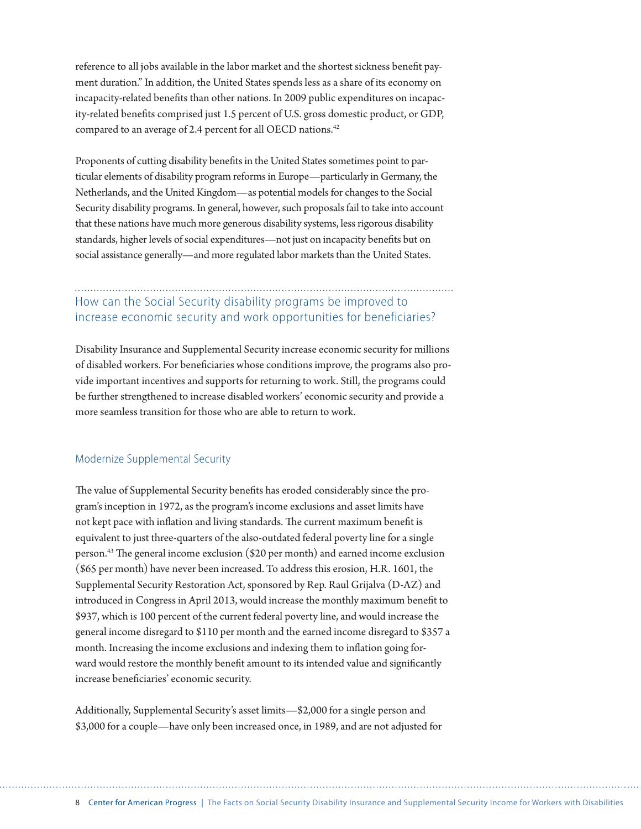reference to all jobs available in the labor market and the shortest sickness benefit payment duration." In addition, the United States spends less as a share of its economy on incapacity-related benefits than other nations. In 2009 public expenditures on incapacity-related benefits comprised just 1.5 percent of U.S. gross domestic product, or GDP, compared to an average of 2.4 percent for all OECD nations.<sup>42</sup>

Proponents of cutting disability benefits in the United States sometimes point to particular elements of disability program reforms in Europe—particularly in Germany, the Netherlands, and the United Kingdom—as potential models for changes to the Social Security disability programs. In general, however, such proposals fail to take into account that these nations have much more generous disability systems, less rigorous disability standards, higher levels of social expenditures—not just on incapacity benefits but on social assistance generally—and more regulated labor markets than the United States.

### How can the Social Security disability programs be improved to increase economic security and work opportunities for beneficiaries?

Disability Insurance and Supplemental Security increase economic security for millions of disabled workers. For beneficiaries whose conditions improve, the programs also provide important incentives and supports for returning to work. Still, the programs could be further strengthened to increase disabled workers' economic security and provide a more seamless transition for those who are able to return to work.

#### Modernize Supplemental Security

The value of Supplemental Security benefits has eroded considerably since the program's inception in 1972, as the program's income exclusions and asset limits have not kept pace with inflation and living standards. The current maximum benefit is equivalent to just three-quarters of the also-outdated federal poverty line for a single person.43 The general income exclusion (\$20 per month) and earned income exclusion (\$65 per month) have never been increased. To address this erosion, H.R. 1601, the Supplemental Security Restoration Act, sponsored by Rep. Raul Grijalva (D-AZ) and introduced in Congress in April 2013, would increase the monthly maximum benefit to \$937, which is 100 percent of the current federal poverty line, and would increase the general income disregard to \$110 per month and the earned income disregard to \$357 a month. Increasing the income exclusions and indexing them to inflation going forward would restore the monthly benefit amount to its intended value and significantly increase beneficiaries' economic security.

Additionally, Supplemental Security's asset limits—\$2,000 for a single person and \$3,000 for a couple—have only been increased once, in 1989, and are not adjusted for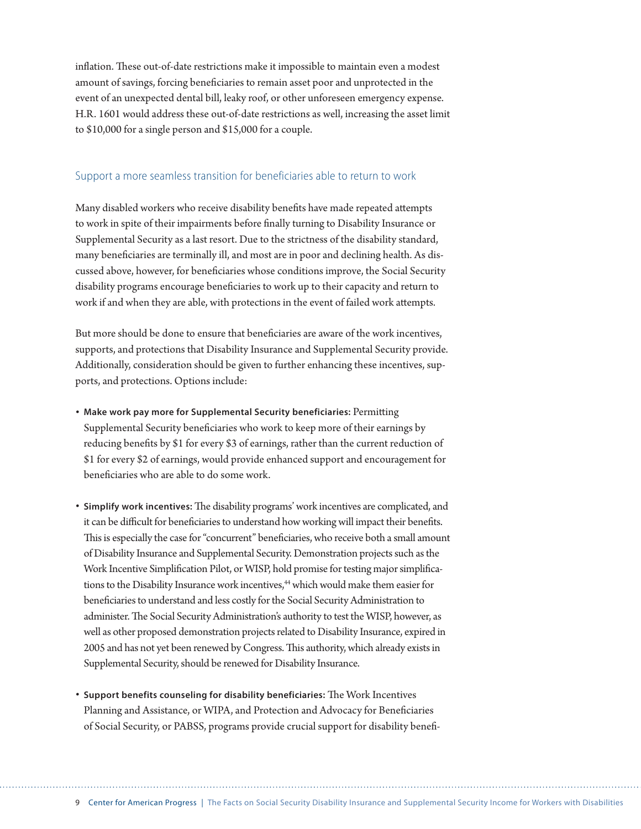inflation. These out-of-date restrictions make it impossible to maintain even a modest amount of savings, forcing beneficiaries to remain asset poor and unprotected in the event of an unexpected dental bill, leaky roof, or other unforeseen emergency expense. H.R. 1601 would address these out-of-date restrictions as well, increasing the asset limit to \$10,000 for a single person and \$15,000 for a couple.

#### Support a more seamless transition for beneficiaries able to return to work

Many disabled workers who receive disability benefits have made repeated attempts to work in spite of their impairments before finally turning to Disability Insurance or Supplemental Security as a last resort. Due to the strictness of the disability standard, many beneficiaries are terminally ill, and most are in poor and declining health. As discussed above, however, for beneficiaries whose conditions improve, the Social Security disability programs encourage beneficiaries to work up to their capacity and return to work if and when they are able, with protections in the event of failed work attempts.

But more should be done to ensure that beneficiaries are aware of the work incentives, supports, and protections that Disability Insurance and Supplemental Security provide. Additionally, consideration should be given to further enhancing these incentives, supports, and protections. Options include:

- **Make work pay more for Supplemental Security beneficiaries:** Permitting Supplemental Security beneficiaries who work to keep more of their earnings by reducing benefits by \$1 for every \$3 of earnings, rather than the current reduction of \$1 for every \$2 of earnings, would provide enhanced support and encouragement for beneficiaries who are able to do some work.
- **Simplify work incentives:** The disability programs' work incentives are complicated, and it can be difficult for beneficiaries to understand how working will impact their benefits. This is especially the case for "concurrent" beneficiaries, who receive both a small amount of Disability Insurance and Supplemental Security. Demonstration projects such as the Work Incentive Simplification Pilot, or WISP, hold promise for testing major simplifications to the Disability Insurance work incentives,<sup>44</sup> which would make them easier for beneficiaries to understand and less costly for the Social Security Administration to administer. The Social Security Administration's authority to test the WISP, however, as well as other proposed demonstration projects related to Disability Insurance, expired in 2005 and has not yet been renewed by Congress. This authority, which already exists in Supplemental Security, should be renewed for Disability Insurance.
- **Support benefits counseling for disability beneficiaries:** The Work Incentives Planning and Assistance, or WIPA, and Protection and Advocacy for Beneficiaries of Social Security, or PABSS, programs provide crucial support for disability benefi-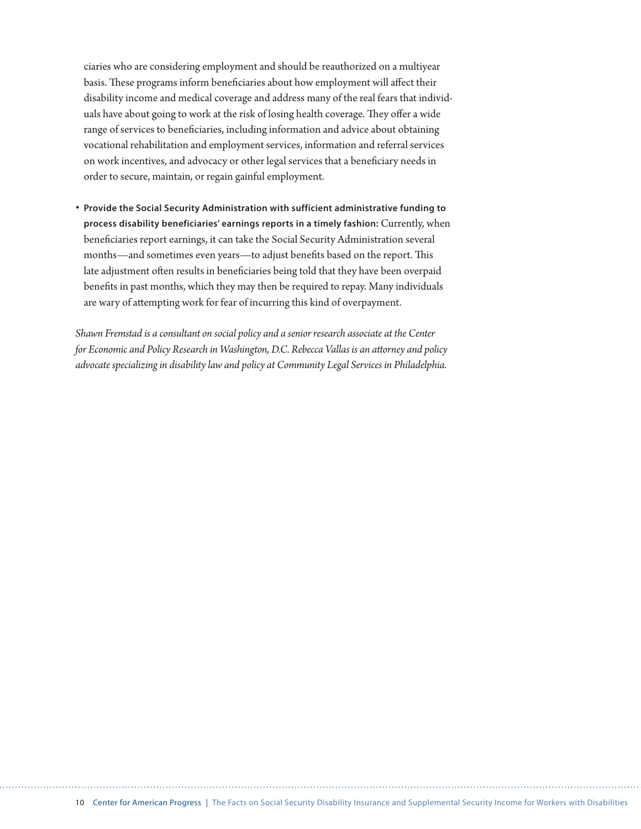ciaries who are considering employment and should be reauthorized on a multiyear basis. These programs inform beneficiaries about how employment will affect their disability income and medical coverage and address many of the real fears that individuals have about going to work at the risk of losing health coverage. They offer a wide range of services to beneficiaries, including information and advice about obtaining vocational rehabilitation and employment services, information and referral services on work incentives, and advocacy or other legal services that a beneficiary needs in order to secure, maintain, or regain gainful employment.

• **Provide the Social Security Administration with sufficient administrative funding to process disability beneficiaries' earnings reports in a timely fashion:** Currently, when beneficiaries report earnings, it can take the Social Security Administration several months—and sometimes even years—to adjust benefits based on the report. This late adjustment often results in beneficiaries being told that they have been overpaid benefits in past months, which they may then be required to repay. Many individuals are wary of attempting work for fear of incurring this kind of overpayment.

*Shawn Fremstad is a consultant on social policy and a senior research associate at the Center for Economic and Policy Research in Washington, D.C. Rebecca Vallas is an attorney and policy advocate specializing in disability law and policy at Community Legal Services in Philadelphia.*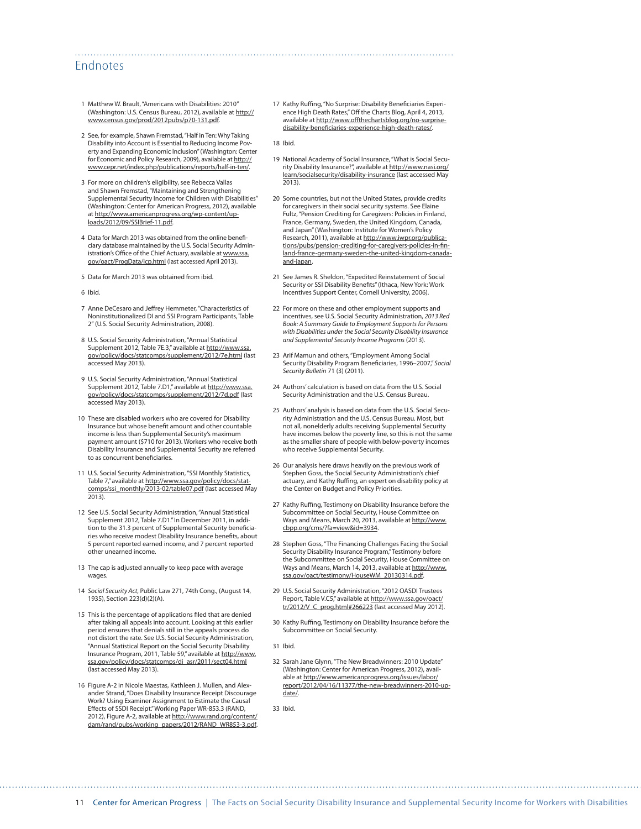#### Endnotes

- 1 Matthew W. Brault, "Americans with Disabilities: 2010" (Washington: U.S. Census Bureau, 2012), available at [http://](http://www.census.gov/prod/2012pubs/p70-131.pdf) [www.census.gov/prod/2012pubs/p70-131.pdf.](http://www.census.gov/prod/2012pubs/p70-131.pdf)
- 2 See, for example, Shawn Fremstad, "Half in Ten: Why Taking Disability into Account is Essential to Reducing Income Poverty and Expanding Economic Inclusion" (Washington: Center for Economic and Policy Research, 2009), available at [http://](http://www.cepr.net/index.php/publications/reports/half-in-ten/) [www.cepr.net/index.php/publications/reports/half-in-ten/.](http://www.cepr.net/index.php/publications/reports/half-in-ten/)
- 3 For more on children's eligibility, see Rebecca Vallas and Shawn Fremstad, "Maintaining and Strengthening Supplemental Security Income for Children with Disabilities" (Washington: Center for American Progress, 2012), available at [http://www.americanprogress.org/wp-content/up](http://www.americanprogress.org/wp-content/uploads/2012/09/SSIBrief-11.pdf)[loads/2012/09/SSIBrief-11.pdf.](http://www.americanprogress.org/wp-content/uploads/2012/09/SSIBrief-11.pdf)
- 4 Data for March 2013 was obtained from the online beneficiary database maintained by the U.S. Social Security Administration's Office of the Chief Actuary, available at [www.ssa.](http://www.ssa.gov/oact/ProgData/icp.html) [gov/oact/ProgData/icp.html](http://www.ssa.gov/oact/ProgData/icp.html) (last accessed April 2013).
- 5 Data for March 2013 was obtained from ibid.
- 6 Ibid.
- 7 Anne DeCesaro and Jeffrey Hemmeter, "Characteristics of Noninstitutionalized DI and SSI Program Participants, Table 2" (U.S. Social Security Administration, 2008).
- 8 U.S. Social Security Administration, "Annual Statistical Supplement 2012, Table 7E.3," available at http://www.ss [gov/policy/docs/statcomps/supplement/2012/7e.html](http://www.ssa.gov/policy/docs/statcomps/supplement/2012/7e.html) (last accessed May 2013).
- 9 U.S. Social Security Administration, "Annual Statistical Supplement 2012, Table 7.D1," available at [http://www.ssa.](http://www.ssa.gov/policy/docs/statcomps/supplement/2012/7d.pdf) [gov/policy/docs/statcomps/supplement/2012/7d.pdf](http://www.ssa.gov/policy/docs/statcomps/supplement/2012/7d.pdf) (last accessed May 2013).
- 10 These are disabled workers who are covered for Disability Insurance but whose benefit amount and other countable income is less than Supplemental Security's maximum payment amount (\$710 for 2013). Workers who receive both Disability Insurance and Supplemental Security are referred to as concurrent beneficiaries.
- 11 U.S. Social Security Administration, "SSI Monthly Statistics, Table 7," available at [http://www.ssa.gov/policy/docs/stat](http://www.ssa.gov/policy/docs/statcomps/ssi_monthly/2013-02/table07.pdf)[comps/ssi\\_monthly/2013-02/table07.pdf](http://www.ssa.gov/policy/docs/statcomps/ssi_monthly/2013-02/table07.pdf) (last accessed May 2013).
- 12 See U.S. Social Security Administration, "Annual Statistical Supplement 2012, Table 7.D1." In December 2011, in addition to the 31.3 percent of Supplemental Security beneficiaries who receive modest Disability Insurance benefits, about 5 percent reported earned income, and 7 percent reported other unearned income.
- 13 The cap is adjusted annually to keep pace with average wages.
- 14 *Social Security Act*, Public Law 271, 74th Cong., (August 14, 1935), Section 223(d)(2)(A).
- 15 This is the percentage of applications filed that are denied after taking all appeals into account. Looking at this earlier period ensures that denials still in the appeals process do not distort the rate. See U.S. Social Security Administration, "Annual Statistical Report on the Social Security Disability Insurance Program, 2011, Table 59," available at [http://www.](http://www.ssa.gov/policy/docs/statcomps/di_asr/2011/sect04.html) [ssa.gov/policy/docs/statcomps/di\\_asr/2011/sect04.html](http://www.ssa.gov/policy/docs/statcomps/di_asr/2011/sect04.html) (last accessed May 2013).
- 16 Figure A-2 in Nicole Maestas, Kathleen J. Mullen, and Alexander Strand, "Does Disability Insurance Receipt Discourage Work? Using Examiner Assignment to Estimate the Causal Effects of SSDI Receipt." Working Paper WR-853.3 (RAND, 2012), Figure A-2, available at [http://www.rand.org/content/](http://www.rand.org/content/dam/rand/pubs/working_papers/2012/RAND_WR853-3.pdf) [dam/rand/pubs/working\\_papers/2012/RAND\\_WR853-3.pdf.](http://www.rand.org/content/dam/rand/pubs/working_papers/2012/RAND_WR853-3.pdf)

17 Kathy Ruffing, "No Surprise: Disability Beneficiaries Experience High Death Rates," Off the Charts Blog, April 4, 2013, available at [http://www.offthechartsblog.org/no-surprise](http://www.offthechartsblog.org/no-surprise-disability-beneficiaries-experience-high-death-rates/)[disability-beneficiaries-experience-high-death-rates/.](http://www.offthechartsblog.org/no-surprise-disability-beneficiaries-experience-high-death-rates/)

18 Ibid.

- 19 National Academy of Social Insurance, "What is Social Security Disability Insurance?", available at [http://www.nasi.org/](http://www.nasi.org/learn/socialsecurity/disability-insurance) [learn/socialsecurity/disability-insurance](http://www.nasi.org/learn/socialsecurity/disability-insurance) (last accessed May 2013).
- 20 Some countries, but not the United States, provide credits for caregivers in their social security systems. See Elaine Fultz, "Pension Crediting for Caregivers: Policies in Finland, France, Germany, Sweden, the United Kingdom, Canada, and Japan" (Washington: Institute for Women's Policy Research, 2011), available at [http://www.iwpr.org/publica](http://www.iwpr.org/publications/pubs/pension-crediting-for-caregivers-policies-in-finland-france-germany-sweden-the-united-kingdom-canada-and-japan)[tions/pubs/pension-crediting-for-caregivers-policies-in-fin](http://www.iwpr.org/publications/pubs/pension-crediting-for-caregivers-policies-in-finland-france-germany-sweden-the-united-kingdom-canada-and-japan)[land-france-germany-sweden-the-united-kingdom-canada](http://www.iwpr.org/publications/pubs/pension-crediting-for-caregivers-policies-in-finland-france-germany-sweden-the-united-kingdom-canada-and-japan)[and-japan.](http://www.iwpr.org/publications/pubs/pension-crediting-for-caregivers-policies-in-finland-france-germany-sweden-the-united-kingdom-canada-and-japan)
- 21 See James R. Sheldon, "Expedited Reinstatement of Social Security or SSI Disability Benefits" (Ithaca, New York: Work Incentives Support Center, Cornell University, 2006).
- 22 For more on these and other employment supports and incentives, see U.S. Social Security Administration, *2013 Red Book: A Summary Guide to Employment Supports for Persons with Disabilities under the Social Security Disability Insurance and Supplemental Security Income Programs* (2013).
- 23 Arif Mamun and others, "Employment Among Social Security Disability Program Beneficiaries, 1996–2007," *Social Security Bulletin* 71 (3) (2011).
- 24 Authors' calculation is based on data from the U.S. Social Security Administration and the U.S. Census Bureau.
- 25 Authors' analysis is based on data from the U.S. Social Security Administration and the U.S. Census Bureau. Most, but not all, nonelderly adults receiving Supplemental Security have incomes below the poverty line, so this is not the same as the smaller share of people with below-poverty incomes who receive Supplemental Security.
- 26 Our analysis here draws heavily on the previous work of Stephen Goss, the Social Security Administration's chief actuary, and Kathy Ruffing, an expert on disability policy at the Center on Budget and Policy Priorities.
- 27 Kathy Ruffing, Testimony on Disability Insurance before the Subcommittee on Social Security, House Committee on Ways and Means, March 20, 2013, available at [http://www.](http://www.cbpp.org/cms/?fa=view&id=3934) [cbpp.org/cms/?fa=view&id=3934.](http://www.cbpp.org/cms/?fa=view&id=3934)
- 28 Stephen Goss, "The Financing Challenges Facing the Social Security Disability Insurance Program," Testimony before the Subcommittee on Social Security, House Committee on Ways and Means, March 14, 2013, available at [http://www.](http://www.ssa.gov/oact/testimony/HouseWM_20130314.pdf) [ssa.gov/oact/testimony/HouseWM\\_20130314.pdf](http://www.ssa.gov/oact/testimony/HouseWM_20130314.pdf).
- 29 U.S. Social Security Administration, "2012 OASDI Trustees Report, Table V.C5," available at http://www.ssa.gov/oact/ tr/2012/V\_C\_prog.html#266223 (last accessed May 2012).
- 30 Kathy Ruffing, Testimony on Disability Insurance before the Subcommittee on Social Security.
- 31 Ibid.
- 32 Sarah Jane Glynn, "The New Breadwinners: 2010 Update" (Washington: Center for American Progress, 2012), available at [http://www.americanprogress.org/issues/labor/](http://www.americanprogress.org/issues/labor/report/2012/04/16/11377/the-new-breadwinners-2010-update/) [report/2012/04/16/11377/the-new-breadwinners-2010-up](http://www.americanprogress.org/issues/labor/report/2012/04/16/11377/the-new-breadwinners-2010-update/)[date/.](http://www.americanprogress.org/issues/labor/report/2012/04/16/11377/the-new-breadwinners-2010-update/)

33 Ibid.